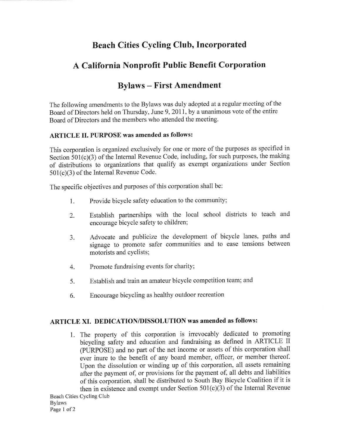# Beach Cities Cycling Club, Incorporated

# A California Nonprofit Public Benefit Corporation

## Bylaws - First Amendment

The following amendments to the Bylaws was duly adopted at a regular meeting of the Board of Directors held on Thursday, June 9,2011, by a unanimous vote of the entire Board of Directors and the members who attended the meeting.

#### ARTICLE II. PURPOSE was amended as follows:

This corporation is organized exclusively for one or more of the purposes as specified in Section  $501(c)(3)$  of the Internal Revenue Code, including, for such purposes, the making of distributions to organizations that qualify as exempt organizations under Section 501(c)(3) of the Internal Revenue Code.

The specific objectives and purposes of this corporation shall be:

- 1. Provide bicycle safety education to the community;
- 2. Establish partnerships with the local school districts to teach and encourage bicycle safety to children;
- 3. Advocate and publicize the development of bicycle lanes, paths and signage to promote safer communities and to ease tensions between motorists and cyclists;
- 4. Promote fundraising events for charity;
- 5. Establish and train an amateur bicycle competition team; and
- 6. Encourage bicycling as healthy outdoor recreation

### ARTICLE XI. DEDICATION/DISSOLUTION was amended as follows:

1. The property of this corporation is irrevocably dedicated to promoting bicycling safety and education and fundraising as defined in ARTICLE II (PURPOSE) and no part of the net income or assets of this corporation shall ever inure to the benefit of any board member, officer, or member thereof. Upon the dissolution or winding up of this corporation, all assets remaining after the payment of, or provisions for the payment of, all debts and liabilities of this corporation, shall be distributed to South Bay Bicycle Coalition if it is then in existence and exempt under Section 501(c)(3) of the Internal Revenue